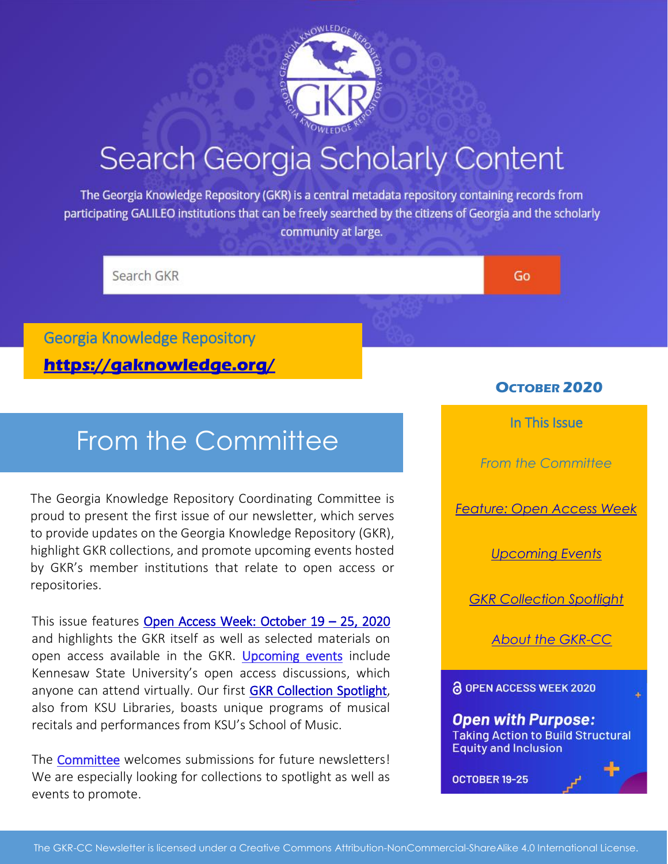

# Search Georgia Scholarly Content

The Georgia Knowledge Repository (GKR) is a central metadata repository containing records from participating GALILEO institutions that can be freely searched by the citizens of Georgia and the scholarly community at large.

Search GKR

Go

[Georgia Knowledge Repository](https://www.gaknowledge.org/)  **<https://gaknowledge.org/>**

## From the Committee

The Georgia Knowledge Repository Coordinating Committee is proud to present the first issue of our newsletter, which serves to provide updates on the Georgia Knowledge Repository (GKR), highlight GKR collections, and promote upcoming events hosted by GKR's member institutions that relate to open access or repositories.

This issue features [Open Access Week: October 19](#page-1-0) – 25, 2020 and highlights the GKR itself as well as selected materials on open access available in the GKR. [Upcoming events](#page-2-0) include Kennesaw State University's open access discussions, which anyone can attend virtually. Our first [GKR Collection Spotlight,](#page-2-1) also from KSU Libraries, boasts unique programs of musical recitals and performances from KSU's School of Music.

The [Committee](#page-2-2) welcomes submissions for future newsletters! We are especially looking for collections to spotlight as well as events to promote.

## **OCTOBER 2020**

In This Issue

*From the Committee*

*[Feature: Open Access Week](#page-1-0)*

*[Upcoming Events](#page-2-0)*

*[GKR Collection Spotlight](#page-2-1)*

*[About the GKR-CC](#page-2-2)*

**& OPEN ACCESS WEEK 2020** 

#### **Open with Purpose: Taking Action to Build Structural Equity and Inclusion**

OCTOBER 19-25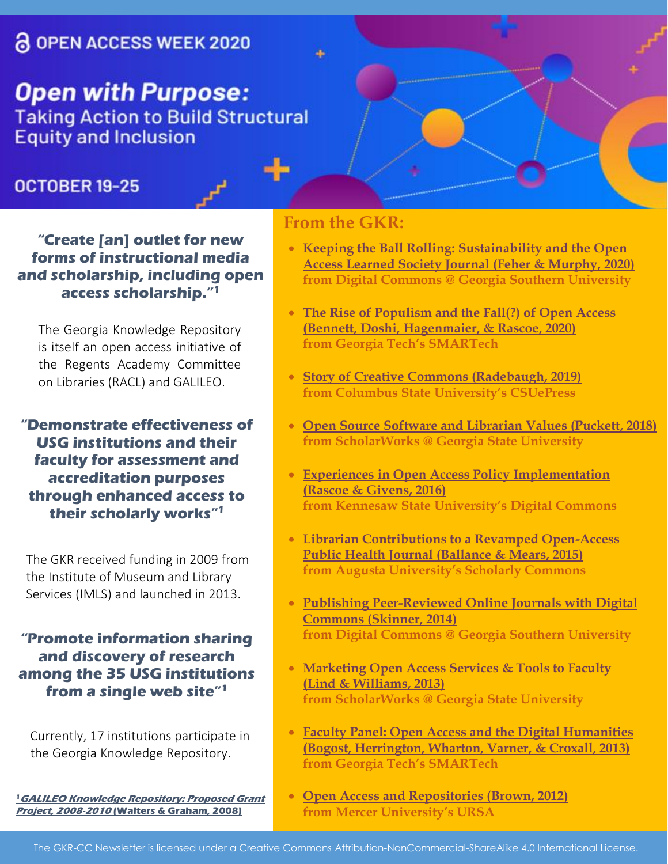## <span id="page-1-0"></span>**& OPEN ACCESS WEEK 2020**

**Open with Purpose: Taking Action to Build Structural Equity and Inclusion** 

## OCTOBER 19-25

**"Create [an] outlet for new forms of instructional media and scholarship, including open access scholarship." 1**

The Georgia Knowledge Repository is itself an open access initiative of the Regents Academy Committee on Libraries (RACL) and GALILEO.

**"Demonstrate effectiveness of USG institutions and their faculty for assessment and accreditation purposes through enhanced access to their scholarly works" 1**

The GKR received funding in 2009 from the Institute of Museum and Library Services (IMLS) and launched in 2013.

**"Promote information sharing and discovery of research among the 35 USG institutions from a single web site" 1**

Currently, 17 institutions participate in the Georgia Knowledge Repository.

**<sup>1</sup>[GALILEO Knowledge Repository: Proposed Grant](https://smartech.gatech.edu/handle/1853/30585)  Project, 2008**‐**<sup>2010</sup> [\(Walters & Graham, 2008\)](https://smartech.gatech.edu/handle/1853/30585)**

## **From the GKR:**

- **[Keeping the Ball Rolling: Sustainability and the Open](https://digitalcommons.georgiasouthern.edu/dcseug/2020/2020/7/)  [Access Learned Society Journal](https://digitalcommons.georgiasouthern.edu/dcseug/2020/2020/7/) (Feher & Murphy, 2020) from Digital Commons @ Georgia Southern University**
- **[The Rise of Populism and the Fall\(?\) of Open Access](https://smartech.gatech.edu/handle/1853/62408)  (Bennett, [Doshi, Hagenmaier,](https://smartech.gatech.edu/handle/1853/62408) & Rascoe, 2020) from Georgia Tech's SMARTech**
- **[Story of Creative Commons \(Radebaugh, 2019\)](https://csuepress.columbusstate.edu/bibliography_faculty/2642/) from Columbus State University's CSUePress**
- **[Open Source Software and Librarian Values](https://scholarworks.gsu.edu/univ_lib_facpub/124/) (Puckett, 2018) from ScholarWorks @ Georgia State University**
- **[Experiences in Open Access Policy Implementation](https://digitalcommons.kennesaw.edu/dcseug/2016/Schedule/4/)  [\(Rascoe & Givens, 2016\)](https://digitalcommons.kennesaw.edu/dcseug/2016/Schedule/4/)  from Kennesaw State University's Digital Commons**
- **[Librarian Contributions to a Revamped Open-Access](https://augusta.openrepository.com/handle/10675.2/621568)  [Public Health Journal](https://augusta.openrepository.com/handle/10675.2/621568) (Ballance & Mears, 2015) from Augusta University's Scholarly Commons**
- **[Publishing Peer-Reviewed Online Journals with Digital](https://digitalcommons.georgiasouthern.edu/lib-facpresent/25/)  Commons [\(Skinner, 2014\)](https://digitalcommons.georgiasouthern.edu/lib-facpresent/25/)  from Digital Commons @ Georgia Southern University**
- **[Marketing Open Access Services & Tools to Faculty](https://scholarworks.gsu.edu/univ_lib_facpres/27/)  [\(Lind & Williams, 2013\)](https://scholarworks.gsu.edu/univ_lib_facpres/27/)  from ScholarWorks @ Georgia State University**
- **[Faculty Panel: Open Access and the Digital Humanities](https://smartech.gatech.edu/handle/1853/49424)  (Bogost, Herrington, [Wharton, Varner, & Croxall, 2013\)](https://smartech.gatech.edu/handle/1853/49424) from Georgia Tech's SMARTech**
- **[Open Access and Repositories \(Brown, 2012\)](https://libraries.mercer.edu/ursa/handle/10898/458) from Mercer University's URSA**